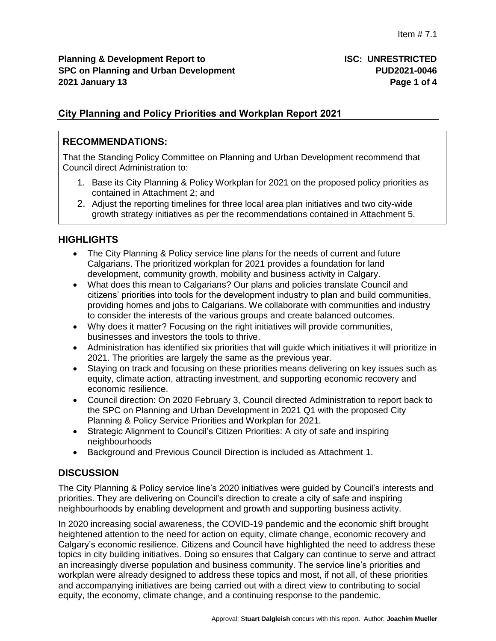**Planning & Development Report to <b>ISC: UNRESTRICTED SPC on Planning and Urban Development PUD2021-0046 2021 January 13 Page 1 of 4**

## **City Planning and Policy Priorities and Workplan Report 2021**

## **RECOMMENDATIONS:**

That the Standing Policy Committee on Planning and Urban Development recommend that Council direct Administration to:

- 1. Base its City Planning & Policy Workplan for 2021 on the proposed policy priorities as contained in Attachment 2; and
- 2. Adjust the reporting timelines for three local area plan initiatives and two city-wide growth strategy initiatives as per the recommendations contained in Attachment 5.

# **HIGHLIGHTS**

- The City Planning & Policy service line plans for the needs of current and future Calgarians. The prioritized workplan for 2021 provides a foundation for land development, community growth, mobility and business activity in Calgary.
- What does this mean to Calgarians? Our plans and policies translate Council and citizens' priorities into tools for the development industry to plan and build communities, providing homes and jobs to Calgarians. We collaborate with communities and industry to consider the interests of the various groups and create balanced outcomes.
- Why does it matter? Focusing on the right initiatives will provide communities, businesses and investors the tools to thrive.
- Administration has identified six priorities that will guide which initiatives it will prioritize in 2021. The priorities are largely the same as the previous year.
- Staying on track and focusing on these priorities means delivering on key issues such as equity, climate action, attracting investment, and supporting economic recovery and economic resilience.
- Council direction: On 2020 February 3, Council directed Administration to report back to the SPC on Planning and Urban Development in 2021 Q1 with the proposed City Planning & Policy Service Priorities and Workplan for 2021.
- Strategic Alignment to Council's Citizen Priorities: A city of safe and inspiring neighbourhoods
- Background and Previous Council Direction is included as Attachment 1.

# **DISCUSSION**

The City Planning & Policy service line's 2020 initiatives were guided by Council's interests and priorities. They are delivering on Council's direction to create a city of safe and inspiring neighbourhoods by enabling development and growth and supporting business activity.

In 2020 increasing social awareness, the COVID-19 pandemic and the economic shift brought heightened attention to the need for action on equity, climate change, economic recovery and Calgary's economic resilience. Citizens and Council have highlighted the need to address these topics in city building initiatives. Doing so ensures that Calgary can continue to serve and attract an increasingly diverse population and business community. The service line's priorities and workplan were already designed to address these topics and most, if not all, of these priorities and accompanying initiatives are being carried out with a direct view to contributing to social equity, the economy, climate change, and a continuing response to the pandemic.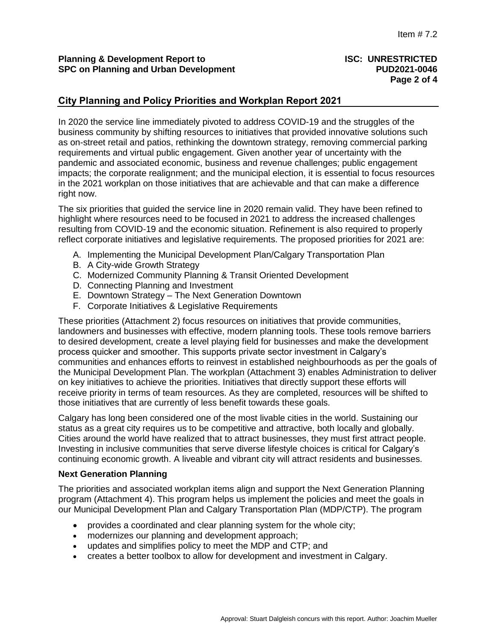## **City Planning and Policy Priorities and Workplan Report 2021**

In 2020 the service line immediately pivoted to address COVID-19 and the struggles of the business community by shifting resources to initiatives that provided innovative solutions such as on-street retail and patios, rethinking the downtown strategy, removing commercial parking requirements and virtual public engagement. Given another year of uncertainty with the pandemic and associated economic, business and revenue challenges; public engagement impacts; the corporate realignment; and the municipal election, it is essential to focus resources in the 2021 workplan on those initiatives that are achievable and that can make a difference right now.

The six priorities that guided the service line in 2020 remain valid. They have been refined to highlight where resources need to be focused in 2021 to address the increased challenges resulting from COVID-19 and the economic situation. Refinement is also required to properly reflect corporate initiatives and legislative requirements. The proposed priorities for 2021 are:

- A. Implementing the Municipal Development Plan/Calgary Transportation Plan
- B. A City-wide Growth Strategy
- C. Modernized Community Planning & Transit Oriented Development
- D. Connecting Planning and Investment
- E. Downtown Strategy The Next Generation Downtown
- F. Corporate Initiatives & Legislative Requirements

These priorities (Attachment 2) focus resources on initiatives that provide communities, landowners and businesses with effective, modern planning tools. These tools remove barriers to desired development, create a level playing field for businesses and make the development process quicker and smoother. This supports private sector investment in Calgary's communities and enhances efforts to reinvest in established neighbourhoods as per the goals of the Municipal Development Plan. The workplan (Attachment 3) enables Administration to deliver on key initiatives to achieve the priorities. Initiatives that directly support these efforts will receive priority in terms of team resources. As they are completed, resources will be shifted to those initiatives that are currently of less benefit towards these goals.

Calgary has long been considered one of the most livable cities in the world. Sustaining our status as a great city requires us to be competitive and attractive, both locally and globally. Cities around the world have realized that to attract businesses, they must first attract people. Investing in inclusive communities that serve diverse lifestyle choices is critical for Calgary's continuing economic growth. A liveable and vibrant city will attract residents and businesses.

#### **Next Generation Planning**

The priorities and associated workplan items align and support the Next Generation Planning program (Attachment 4). This program helps us implement the policies and meet the goals in our Municipal Development Plan and Calgary Transportation Plan (MDP/CTP). The program

- provides a coordinated and clear planning system for the whole city;
- modernizes our planning and development approach;
- updates and simplifies policy to meet the MDP and CTP; and
- creates a better toolbox to allow for development and investment in Calgary.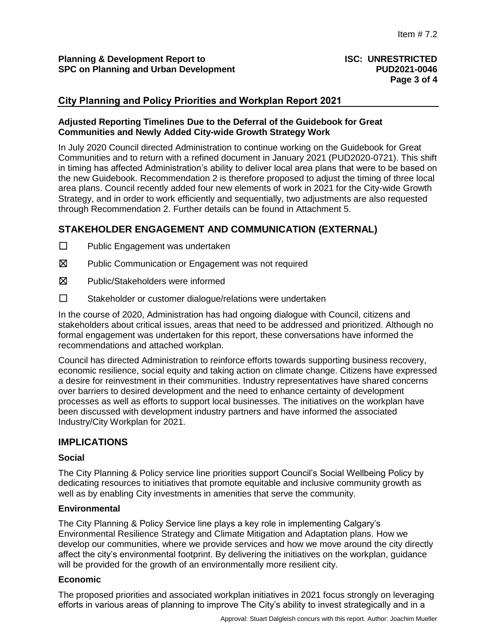### **City Planning and Policy Priorities and Workplan Report 2021**

### **Adjusted Reporting Timelines Due to the Deferral of the Guidebook for Great Communities and Newly Added City-wide Growth Strategy Work**

In July 2020 Council directed Administration to continue working on the Guidebook for Great Communities and to return with a refined document in January 2021 (PUD2020-0721). This shift in timing has affected Administration's ability to deliver local area plans that were to be based on the new Guidebook. Recommendation 2 is therefore proposed to adjust the timing of three local area plans. Council recently added four new elements of work in 2021 for the City-wide Growth Strategy, and in order to work efficiently and sequentially, two adjustments are also requested through Recommendation 2. Further details can be found in Attachment 5.

## **STAKEHOLDER ENGAGEMENT AND COMMUNICATION (EXTERNAL)**

- ☐ Public Engagement was undertaken
- ☒ Public Communication or Engagement was not required
- ☒ Public/Stakeholders were informed
- ☐ Stakeholder or customer dialogue/relations were undertaken

In the course of 2020, Administration has had ongoing dialogue with Council, citizens and stakeholders about critical issues, areas that need to be addressed and prioritized. Although no formal engagement was undertaken for this report, these conversations have informed the recommendations and attached workplan.

Council has directed Administration to reinforce efforts towards supporting business recovery, economic resilience, social equity and taking action on climate change. Citizens have expressed a desire for reinvestment in their communities. Industry representatives have shared concerns over barriers to desired development and the need to enhance certainty of development processes as well as efforts to support local businesses. The initiatives on the workplan have been discussed with development industry partners and have informed the associated Industry/City Workplan for 2021.

## **IMPLICATIONS**

### **Social**

The City Planning & Policy service line priorities support Council's Social Wellbeing Policy by dedicating resources to initiatives that promote equitable and inclusive community growth as well as by enabling City investments in amenities that serve the community.

#### **Environmental**

The City Planning & Policy Service line plays a key role in implementing Calgary's Environmental Resilience Strategy and Climate Mitigation and Adaptation plans. How we develop our communities, where we provide services and how we move around the city directly affect the city's environmental footprint. By delivering the initiatives on the workplan, guidance will be provided for the growth of an environmentally more resilient city.

### **Economic**

The proposed priorities and associated workplan initiatives in 2021 focus strongly on leveraging efforts in various areas of planning to improve The City's ability to invest strategically and in a